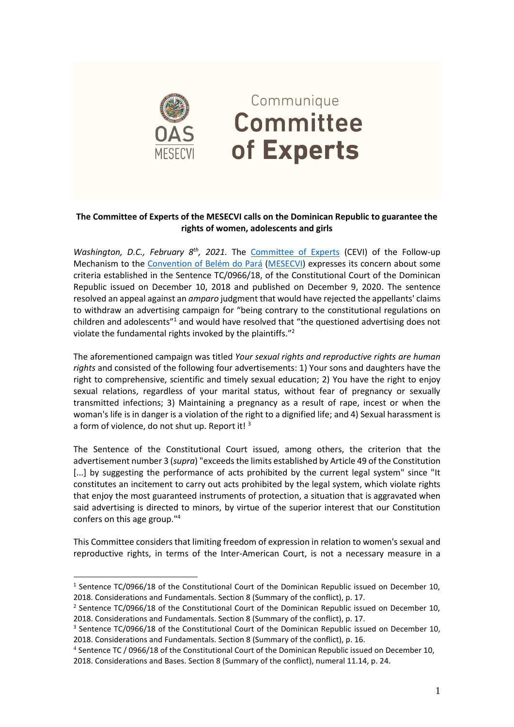

## Communique **Committee** of Experts

## **The Committee of Experts of the MESECVI calls on the Dominican Republic to guarantee the rights of women, adolescents and girls**

*Washington, D.C., February 8<sup>th</sup>, 2021.* The *[Committee of Experts](http://www.oas.org/en/mesecvi/Experts.asp)* (CEVI) of the Follow-up Mechanism to the [Convention of Belém do Pará](http://www.oas.org/es/mesecvi/docs/BelemDoPara-ESPANOL.pdf) [\(MESECVI\)](http://www.oas.org/en/mesecvi/about.asp) expresses its concern about some criteria established in the Sentence TC/0966/18, of the Constitutional Court of the Dominican Republic issued on December 10, 2018 and published on December 9, 2020. The sentence resolved an appeal against an *amparo* judgment that would have rejected the appellants' claims to withdraw an advertising campaign for "being contrary to the constitutional regulations on children and adolescents"<sup>1</sup> and would have resolved that "the questioned advertising does not violate the fundamental rights invoked by the plaintiffs."<sup>2</sup>

The aforementioned campaign was titled *Your sexual rights and reproductive rights are human rights* and consisted of the following four advertisements: 1) Your sons and daughters have the right to comprehensive, scientific and timely sexual education; 2) You have the right to enjoy sexual relations, regardless of your marital status, without fear of pregnancy or sexually transmitted infections; 3) Maintaining a pregnancy as a result of rape, incest or when the woman's life is in danger is a violation of the right to a dignified life; and 4) Sexual harassment is a form of violence, do not shut up. Report it! 3

The Sentence of the Constitutional Court issued, among others, the criterion that the advertisement number 3 (*supra*) "exceeds the limits established by Article 49 of the Constitution [...] by suggesting the performance of acts prohibited by the current legal system" since "It constitutes an incitement to carry out acts prohibited by the legal system, which violate rights that enjoy the most guaranteed instruments of protection, a situation that is aggravated when said advertising is directed to minors, by virtue of the superior interest that our Constitution confers on this age group." 4

This Committee considers that limiting freedom of expression in relation to women's sexual and reproductive rights, in terms of the Inter-American Court, is not a necessary measure in a

<sup>&</sup>lt;sup>1</sup> Sentence TC/0966/18 of the Constitutional Court of the Dominican Republic issued on December 10, 2018. Considerations and Fundamentals. Section 8 (Summary of the conflict), p. 17.

 $2$  Sentence TC/0966/18 of the Constitutional Court of the Dominican Republic issued on December 10, 2018. Considerations and Fundamentals. Section 8 (Summary of the conflict), p. 17.

<sup>&</sup>lt;sup>3</sup> Sentence TC/0966/18 of the Constitutional Court of the Dominican Republic issued on December 10, 2018. Considerations and Fundamentals. Section 8 (Summary of the conflict), p. 16.

<sup>&</sup>lt;sup>4</sup> Sentence TC / 0966/18 of the Constitutional Court of the Dominican Republic issued on December 10, 2018. Considerations and Bases. Section 8 (Summary of the conflict), numeral 11.14, p. 24.